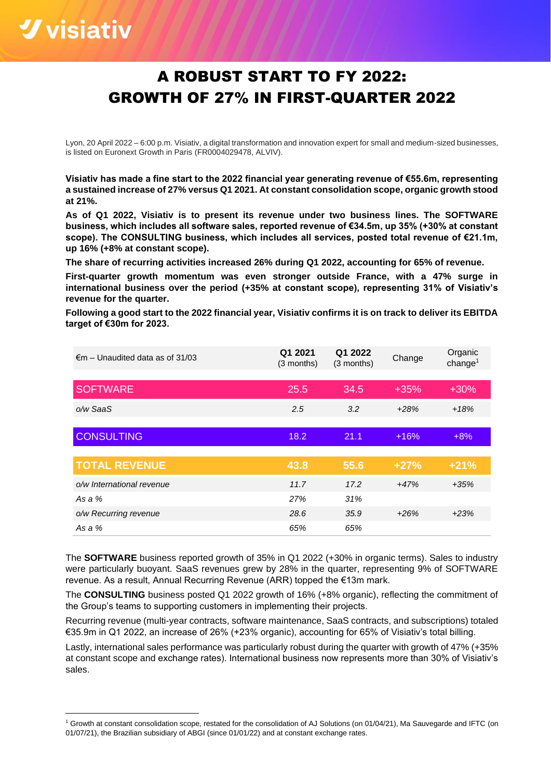# *<u>Vvisiativ*</u>

# A ROBUST START TO FY 2022: GROWTH OF 27% IN FIRST-QUARTER 2022

Lyon, 20 April 2022 – 6:00 p.m. Visiativ, a digital transformation and innovation expert for small and medium-sized businesses, is listed on Euronext Growth in Paris (FR0004029478, ALVIV).

**Visiativ has made a fine start to the 2022 financial year generating revenue of €55.6m, representing a sustained increase of 27% versus Q1 2021. At constant consolidation scope, organic growth stood at 21%.**

**As of Q1 2022, Visiativ is to present its revenue under two business lines. The SOFTWARE business, which includes all software sales, reported revenue of €34.5m, up 35% (+30% at constant scope). The CONSULTING business, which includes all services, posted total revenue of €21.1m, up 16% (+8% at constant scope).**

**The share of recurring activities increased 26% during Q1 2022, accounting for 65% of revenue.**

**First-quarter growth momentum was even stronger outside France, with a 47% surge in international business over the period (+35% at constant scope), representing 31% of Visiativ's revenue for the quarter.**

**Following a good start to the 2022 financial year, Visiativ confirms it is on track to deliver its EBITDA target of €30m for 2023.**

| $\epsilon$ m – Unaudited data as of 31/03 | Q1 2021<br>(3 months) | Q1 2022<br>(3 months) | Change | Organic<br>change <sup>1</sup> |
|-------------------------------------------|-----------------------|-----------------------|--------|--------------------------------|
| <b>SOFTWARE</b>                           | 25.5                  | 34.5                  | $+35%$ | $+30%$                         |
| o/w SaaS                                  | 2.5                   | 3.2                   | $+28%$ | $+18%$                         |
| <b>CONSULTING</b>                         | 18.2                  | 21.1                  | $+16%$ | $+8%$                          |
| <b>TOTAL REVENUE</b>                      | 43.8                  | 55.6                  | $+27%$ | $+21%$                         |
| o/w International revenue                 | 11.7                  | 17.2                  | $+47%$ | $+35%$                         |
| As a $%$                                  | 27%                   | 31%                   |        |                                |
| o/w Recurring revenue                     | 28.6                  | 35.9                  | $+26%$ | $+23%$                         |
| As a %                                    | 65%                   | 65%                   |        |                                |

The **SOFTWARE** business reported growth of 35% in Q1 2022 (+30% in organic terms). Sales to industry were particularly buoyant. SaaS revenues grew by 28% in the quarter, representing 9% of SOFTWARE revenue. As a result, Annual Recurring Revenue (ARR) topped the €13m mark.

The **CONSULTING** business posted Q1 2022 growth of 16% (+8% organic), reflecting the commitment of the Group's teams to supporting customers in implementing their projects.

Recurring revenue (multi-year contracts, software maintenance, SaaS contracts, and subscriptions) totaled €35.9m in Q1 2022, an increase of 26% (+23% organic), accounting for 65% of Visiativ's total billing.

Lastly, international sales performance was particularly robust during the quarter with growth of 47% (+35% at constant scope and exchange rates). International business now represents more than 30% of Visiativ's sales.

<sup>1</sup> Growth at constant consolidation scope, restated for the consolidation of AJ Solutions (on 01/04/21), Ma Sauvegarde and IFTC (on 01/07/21), the Brazilian subsidiary of ABGI (since 01/01/22) and at constant exchange rates.